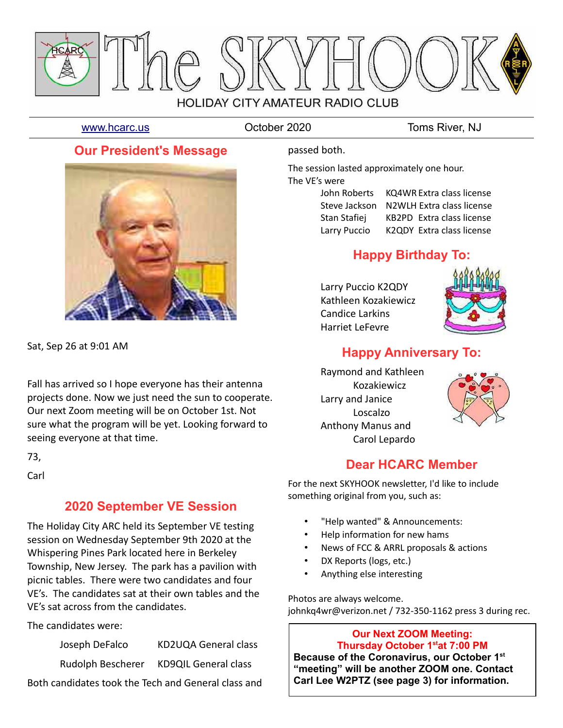

[www.hcarc.us](http://www.hcarc.us/) October 2020 Toms River, NJ

## **Our President's Message**



Sat, Sep 26 at 9:01 AM

Fall has arrived so I hope everyone has their antenna projects done. Now we just need the sun to cooperate. Our next Zoom meeting will be on October 1st. Not sure what the program will be yet. Looking forward to seeing everyone at that time.

73,

**Carl** 

## **2020 September VE Session**

The Holiday City ARC held its September VE testing session on Wednesday September 9th 2020 at the Whispering Pines Park located here in Berkeley Township, New Jersey. The park has a pavilion with picnic tables. There were two candidates and four VE's. The candidates sat at their own tables and the VE's sat across from the candidates.

The candidates were:

| Joseph DeFalco    | KD2UQA General class        |
|-------------------|-----------------------------|
| Rudolph Bescherer | <b>KD9QIL General class</b> |

Both candidates took the Tech and General class and

### passed both.

The session lasted approximately one hour. The VE's were

| John Roberts  | KQ4WR Extra class license |
|---------------|---------------------------|
| Steve Jackson | N2WLH Extra class license |
| Stan Stafiej  | KB2PD Extra class license |
| Larry Puccio  | K2QDY Extra class license |

# **Happy Birthday To:**

Larry Puccio K2QDY Kathleen Kozakiewicz Candice Larkins Harriet LeFevre



# **Happy Anniversary To:**

Raymond and Kathleen Kozakiewicz Larry and Janice Loscalzo Anthony Manus and Carol Lepardo



## **Dear HCARC Member**

For the next SKYHOOK newsletter, I'd like to include something original from you, such as:

- "Help wanted" & Announcements:
- Help information for new hams
- News of FCC & ARRL proposals & actions
- DX Reports (logs, etc.)
- Anything else interesting

Photos are always welcome. johnkq4wr@verizon.net / 732-350-1162 press 3 during rec.

### **Our Next ZOOM Meeting: Thursday October 1stat 7:00 PM**

**Because of the Coronavirus, our October 1st "meeting" will be another ZOOM one. Contact Carl Lee W2PTZ (see page 3) for information.**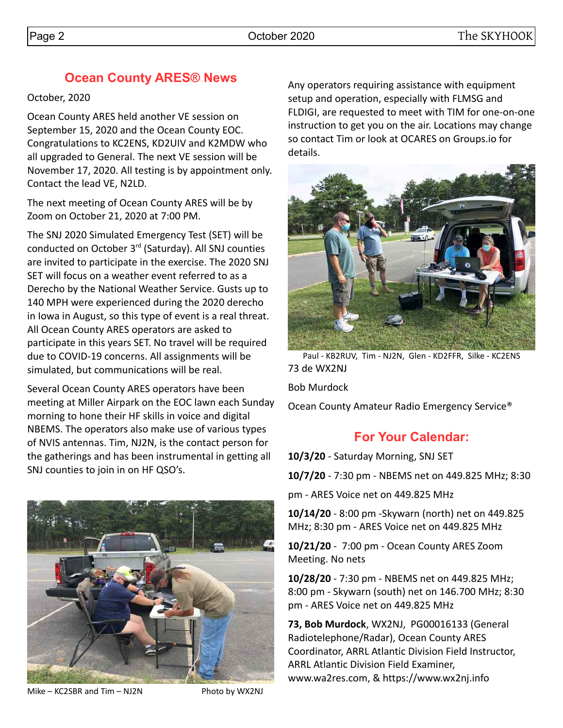# **Ocean County ARES® News**

### October, 2020

Ocean County ARES held another VE session on September 15, 2020 and the Ocean County EOC. Congratulations to KC2ENS, KD2UIV and K2MDW who all upgraded to General. The next VE session will be November 17, 2020. All testing is by appointment only. Contact the lead VE, N2LD.

The next meeting of Ocean County ARES will be by Zoom on October 21, 2020 at 7:00 PM.

The SNJ 2020 Simulated Emergency Test (SET) will be conducted on October 3rd (Saturday). All SNJ counties are invited to participate in the exercise. The 2020 SNJ SET will focus on a weather event referred to as a Derecho by the National Weather Service. Gusts up to 140 MPH were experienced during the 2020 derecho in Iowa in August, so this type of event is a real threat. All Ocean County ARES operators are asked to participate in this years SET. No travel will be required due to COVID-19 concerns. All assignments will be simulated, but communications will be real.

Several Ocean County ARES operators have been meeting at Miller Airpark on the EOC lawn each Sunday morning to hone their HF skills in voice and digital NBEMS. The operators also make use of various types of NVIS antennas. Tim, NJ2N, is the contact person for the gatherings and has been instrumental in getting all SNJ counties to join in on HF QSO's.



Mike – KC2SBR and Tim – NJ2N Photo by WX2NJ

Any operators requiring assistance with equipment setup and operation, especially with FLMSG and FLDIGI, are requested to meet with TIM for one-on-one instruction to get you on the air. Locations may change so contact Tim or look at OCARES on Groups.io for details.



Paul - KB2RUV, Tim - NJ2N, Glen - KD2FFR, Silke - KC2ENS 73 de WX2NJ

Bob Murdock

Ocean County Amateur Radio Emergency Service®

# **For Your Calendar:**

**10/3/20** - Saturday Morning, SNJ SET

**10/7/20** - 7:30 pm - NBEMS net on 449.825 MHz; 8:30

pm - ARES Voice net on 449.825 MHz

**10/14/20** - 8:00 pm -Skywarn (north) net on 449.825 MHz; 8:30 pm - ARES Voice net on 449.825 MHz

**10/21/20** - 7:00 pm - Ocean County ARES Zoom Meeting. No nets

**10/28/20** - 7:30 pm - NBEMS net on 449.825 MHz; 8:00 pm - Skywarn (south) net on 146.700 MHz; 8:30 pm - ARES Voice net on 449.825 MHz

**73, Bob Murdock**, WX2NJ, PG00016133 (General Radiotelephone/Radar), Ocean County ARES Coordinator, ARRL Atlantic Division Field Instructor, ARRL Atlantic Division Field Examiner, www.wa2res.com, & https://www.wx2nj.info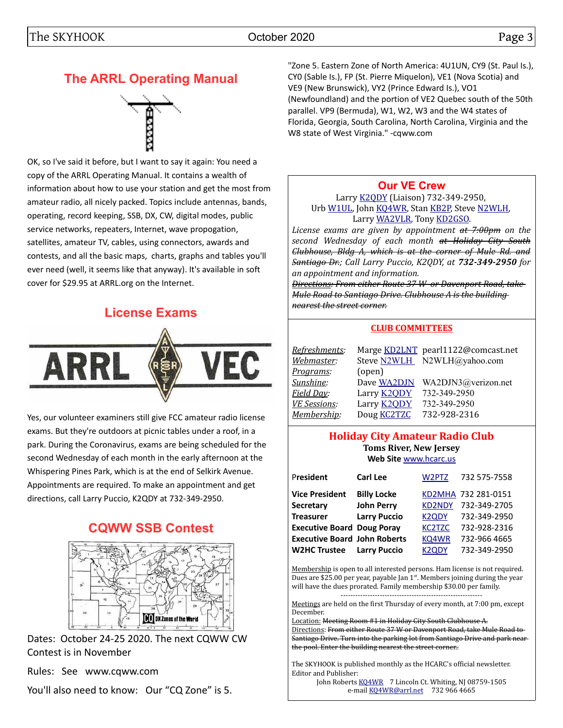# **The ARRL Operating Manual**



OK, so I've said it before, but I want to say it again: You need a copy of the ARRL Operating Manual. It contains a wealth of information about how to use your station and get the most from amateur radio, all nicely packed. Topics include antennas, bands, operating, record keeping, SSB, DX, CW, digital modes, public service networks, repeaters, Internet, wave propogation, satellites, amateur TV, cables, using connectors, awards and contests, and all the basic maps, charts, graphs and tables you'll ever need (well, it seems like that anyway). It's available in soft cover for \$29.95 at ARRL.org on the Internet.

# **License Exams**



Yes, our volunteer examiners still give FCC amateur radio license exams. But they're outdoors at picnic tables under a roof, in a park. During the Coronavirus, exams are being scheduled for the second Wednesday of each month in the early afternoon at the Whispering Pines Park, which is at the end of Selkirk Avenue. Appointments are required. To make an appointment and get directions, call Larry Puccio, K2QDY at 732-349-2950.

# **CQWW SSB Contest**



Dates: October 24-25 2020. The next CQWW CW Contest is in November

Rules: See www.cqww.com

You'll also need to know: Our "CQ Zone" is 5.

"Zone 5. Eastern Zone of North America: 4U1UN, CY9 (St. Paul Is.), CY0 (Sable Is.), FP (St. Pierre Miquelon), VE1 (Nova Scotia) and VE9 (New Brunswick), VY2 (Prince Edward Is.), VO1 (Newfoundland) and the portion of VE2 Quebec south of the 50th parallel. VP9 (Bermuda), W1, W2, W3 and the W4 states of Florida, Georgia, South Carolina, North Carolina, Virginia and the W8 state of West Virginia." -cqww.com

### **[Our VE Crew](mailto:lpuccio1@comcast.net?subject=VE)**

Larry [K2QDY](mailto:lpuccio071@gmail.com) (Liaison) 732-349-2950, Urb [W1UL,](mailto:urb@W1UL.com) John [KQ4WR,](mailto:kq4wr@arrl.net) Stan [KB2P,](mailto:kb2pd@hotmail.com) Steve [N2WLH,](mailto:n2wlh@yahoo.com) Larry [WA2VLR,](mailto:lloscalz@optonline.net) Tony [KD2GSO.](mailto:tonyk613@comcast.net)

*License exams are given by appointment at 7:00pm on the second Wednesday of each month at Holiday City South Clubhouse, Bldg A, which is at the corner of Mule Rd. and Santiago Dr.; Call Larry Puccio, K2QDY, at 732-349-2950 for an appointment and information.*

*Directions: From either Route 37 W or Davenport Road, take Mule Road to Santiago Drive. Clubhouse A is the building nearest the street corner.*

### **CLUB COMMITTEES**

| <u> Refreshments</u> : |                    | Marge KD2LNT pearl1122@comcast.net |
|------------------------|--------------------|------------------------------------|
| Webmaster:             |                    | Steve N2WLH N2WLH@yahoo.com        |
| <u>Programs</u> :      | (open)             |                                    |
| Sunshine:              | Dave WA2DJN        | WA2DJN3@verizon.net                |
| Field Day:             | Larry <b>K2QDY</b> | 732-349-2950                       |
| <b>VE Sessions:</b>    | Larry <b>K2QDY</b> | 732-349-2950                       |
| Membership:            | Doug <b>KC2TZC</b> | 732-928-2316                       |

### **Holiday City Amateur Radio Club Toms River, New Jersey Web Site** [www.hcarc.us](http://www.hcarc.us/)

| President                           | <b>Carl Lee</b>     | W2PTZ              | 732 575-7558        |
|-------------------------------------|---------------------|--------------------|---------------------|
| <b>Vice President</b>               | <b>Billy Locke</b>  |                    | KD2MHA 732 281-0151 |
| <b>Secretary</b>                    | <b>John Perry</b>   | <b>KD2NDY</b>      | 732-349-2705        |
| <b>Treasurer</b>                    | <b>Larry Puccio</b> | <b>K2QDY</b>       | 732-349-2950        |
| <b>Executive Board Doug Poray</b>   |                     | <b>KC2TZC</b>      | 732-928-2316        |
| <b>Executive Board John Roberts</b> |                     | KQ4WR              | 732-966 4665        |
| <b>W2HC Trustee</b>                 | <b>Larry Puccio</b> | K <sub>2</sub> ODY | 732-349-2950        |

Membership is open to all interested persons. Ham license is not required. Dues are \$25.00 per year, payable Jan  $1<sup>st</sup>$ . Members joining during the year will have the dues prorated. Family membership \$30.00 per family.

---------------------------------------------------------- Meetings are held on the first Thursday of every month, at 7:00 pm, except December.

Location: Meeting Room #1 in Holiday City South Clubhouse A. Directions: From either Route 37 W or Davenport Road, take Mule Road to Santiago Drive. Turn into the parking lot from Santiago Drive and park near the pool. Enter the building nearest the street corner..

The SKYHOOK is published monthly as the HCARC's official newsletter. Editor and Publisher:

John Roberts [KQ4WR](mailto:kq4wr@arrl.net) 7 Lincoln Ct. Whiting, NJ 08759-1505 e-mail [KQ4WR@arrl.net](mailto:KQ4WR@arrl.net) 732 966 4665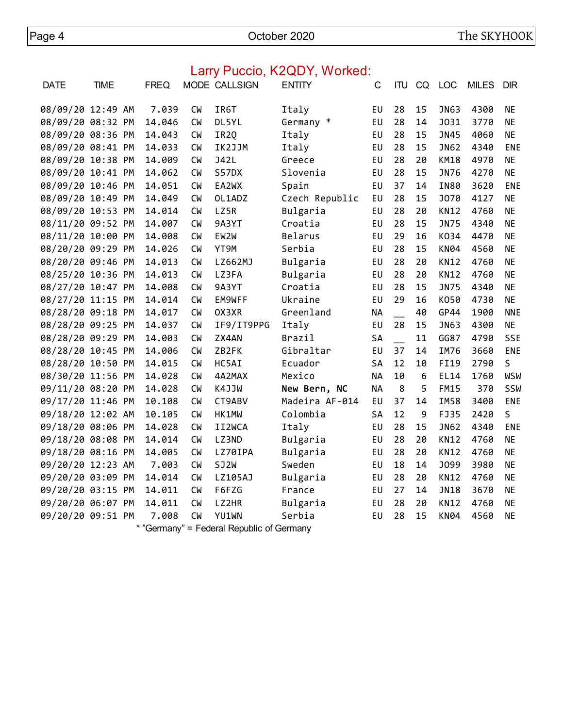Page 4 October 2020 The SKYHOOK

|                   |             |             |           |                                                                                            | Lally Fuccio, NZQD I , WUINGU. |           |    |    |             |              |            |
|-------------------|-------------|-------------|-----------|--------------------------------------------------------------------------------------------|--------------------------------|-----------|----|----|-------------|--------------|------------|
| <b>DATE</b>       | <b>TIME</b> | <b>FREQ</b> |           | MODE CALLSIGN                                                                              | <b>ENTITY</b>                  | C         |    |    | ITU CQ LOC  | <b>MILES</b> | <b>DIR</b> |
| 08/09/20 12:49 AM |             | 7.039       | <b>CM</b> | IR6T                                                                                       | Italy                          | EU        | 28 | 15 | JN63        | 4300         | <b>NE</b>  |
| 08/09/20 08:32 PM |             | 14.046      | <b>CW</b> | DL5YL                                                                                      | Germany *                      | EU        | 28 | 14 | <b>J031</b> | 3770         | <b>NE</b>  |
| 08/09/20 08:36 PM |             | 14.043      | <b>CM</b> | IR <sub>2Q</sub>                                                                           | Italy                          | EU        | 28 | 15 | <b>JN45</b> | 4060         | <b>NE</b>  |
| 08/09/20 08:41 PM |             | 14.033      | <b>CW</b> | IK2JJM                                                                                     | Italy                          | EU        | 28 | 15 | <b>JN62</b> | 4340         | ENE        |
| 08/09/20 10:38 PM |             | 14.009      | <b>CW</b> | <b>J42L</b>                                                                                | Greece                         | EU        | 28 | 20 | <b>KM18</b> | 4970         | <b>NE</b>  |
| 08/09/20 10:41 PM |             | 14.062      | <b>CW</b> | S57DX                                                                                      | Slovenia                       | EU        | 28 | 15 | JN76        | 4270         | <b>NE</b>  |
| 08/09/20 10:46 PM |             | 14.051      | <b>CW</b> | EA2WX                                                                                      | Spain                          | EU        | 37 | 14 | <b>IN80</b> | 3620         | <b>ENE</b> |
| 08/09/20 10:49 PM |             | 14.049      | <b>CM</b> | OL1ADZ                                                                                     | Czech Republic                 | EU        | 28 | 15 | <b>J070</b> | 4127         | <b>NE</b>  |
| 08/09/20 10:53 PM |             | 14.014      | <b>CM</b> | LZ5R                                                                                       | Bulgaria                       | EU        | 28 | 20 | <b>KN12</b> | 4760         | <b>NE</b>  |
| 08/11/20 09:52 PM |             | 14.007      | <b>CW</b> | 9A3YT                                                                                      | Croatia                        | EU        | 28 | 15 | <b>JN75</b> | 4340         | <b>NE</b>  |
| 08/11/20 10:00 PM |             | 14.008      | <b>CM</b> | EW2W                                                                                       | Belarus                        | EU        | 29 | 16 | K034        | 4470         | <b>NE</b>  |
| 08/20/20 09:29 PM |             | 14.026      | <b>CW</b> | YT9M                                                                                       | Serbia                         | EU        | 28 | 15 | <b>KN04</b> | 4560         | <b>NE</b>  |
| 08/20/20 09:46 PM |             | 14.013      | <b>CM</b> | LZ662MJ                                                                                    | Bulgaria                       | EU        | 28 | 20 | <b>KN12</b> | 4760         | <b>NE</b>  |
| 08/25/20 10:36 PM |             | 14.013      | <b>CW</b> | LZ3FA                                                                                      | Bulgaria                       | EU        | 28 | 20 | <b>KN12</b> | 4760         | <b>NE</b>  |
| 08/27/20 10:47 PM |             | 14.008      | <b>CM</b> | 9A3YT                                                                                      | Croatia                        | EU        | 28 | 15 | <b>JN75</b> | 4340         | <b>NE</b>  |
| 08/27/20 11:15 PM |             | 14.014      | <b>CW</b> | EM9WFF                                                                                     | Ukraine                        | EU        | 29 | 16 | K050        | 4730         | <b>NE</b>  |
| 08/28/20 09:18 PM |             | 14.017      | <b>CW</b> | OX3XR                                                                                      | Greenland                      | <b>NA</b> |    | 40 | GP44        | 1900         | <b>NNE</b> |
| 08/28/20 09:25 PM |             | 14.037      | <b>CW</b> | IF9/IT9PPG                                                                                 | Italy                          | EU        | 28 | 15 | JN63        | 4300         | <b>NE</b>  |
| 08/28/20 09:29 PM |             | 14.003      | <b>CW</b> | ZX4AN                                                                                      | <b>Brazil</b>                  | SA        |    | 11 | GG87        | 4790         | <b>SSE</b> |
| 08/28/20 10:45 PM |             | 14.006      | <b>CM</b> | ZB2FK                                                                                      | Gibraltar                      | EU        | 37 | 14 | <b>IM76</b> | 3660         | ENE        |
| 08/28/20 10:50 PM |             | 14.015      | <b>CW</b> | HC5AI                                                                                      | Ecuador                        | SA        | 12 | 10 | FI19        | 2790         | S          |
| 08/30/20 11:56 PM |             | 14.028      | <b>CM</b> | 4A2MAX                                                                                     | Mexico                         | <b>NA</b> | 10 | 6  | EL14        | 1760         | <b>WSW</b> |
| 09/11/20 08:20 PM |             | 14.028      | <b>CM</b> | K4JJW                                                                                      | New Bern, NC                   | <b>NA</b> | 8  | 5  | <b>FM15</b> | 370          | SSW        |
| 09/17/20 11:46 PM |             | 10.108      | <b>CW</b> | CT9ABV                                                                                     | Madeira AF-014                 | EU        | 37 | 14 | <b>IM58</b> | 3400         | ENE        |
| 09/18/20 12:02 AM |             | 10.105      | <b>CM</b> | HK1MW                                                                                      | Colombia                       | SA        | 12 | 9  | FJ35        | 2420         | S          |
| 09/18/20 08:06 PM |             | 14.028      | <b>CW</b> | II2WCA                                                                                     | Italy                          | EU        | 28 | 15 | <b>JN62</b> | 4340         | ENE        |
| 09/18/20 08:08 PM |             | 14.014      | <b>CW</b> | LZ3ND                                                                                      | Bulgaria                       | EU        | 28 | 20 | <b>KN12</b> | 4760         | <b>NE</b>  |
| 09/18/20 08:16 PM |             | 14.005      | <b>CW</b> | LZ70IPA                                                                                    | Bulgaria                       | EU        | 28 | 20 | <b>KN12</b> | 4760         | <b>NE</b>  |
| 09/20/20 12:23 AM |             | 7.003       | <b>CM</b> | SJ2W                                                                                       | Sweden                         | EU        | 18 | 14 | J099        | 3980         | <b>NE</b>  |
| 09/20/20 03:09 PM |             | 14.014      | <b>CW</b> | LZ105AJ                                                                                    | Bulgaria                       | EU        | 28 | 20 | <b>KN12</b> | 4760         | <b>NE</b>  |
| 09/20/20 03:15 PM |             | 14.011      | <b>CW</b> | F6FZG                                                                                      | France                         | EU        | 27 | 14 | <b>JN18</b> | 3670         | <b>NE</b>  |
| 09/20/20 06:07 PM |             | 14.011      | <b>CW</b> | LZ2HR                                                                                      | Bulgaria                       | EU        | 28 | 20 | <b>KN12</b> | 4760         | <b>NE</b>  |
| 09/20/20 09:51 PM |             | 7.008       | <b>CW</b> | YU1WN                                                                                      | Serbia                         | EU        | 28 | 15 | <b>KN04</b> | 4560         | <b>NE</b>  |
|                   |             | $+ 10$      |           | $\mathbf{y}$ $\mathbf{r}$ $\mathbf{r}$ $\mathbf{r}$ $\mathbf{r}$ $\mathbf{r}$ $\mathbf{r}$ |                                |           |    |    |             |              |            |

## Larry Puccio, K2QDY, Worked:

\* "Germany" = Federal Republic of Germany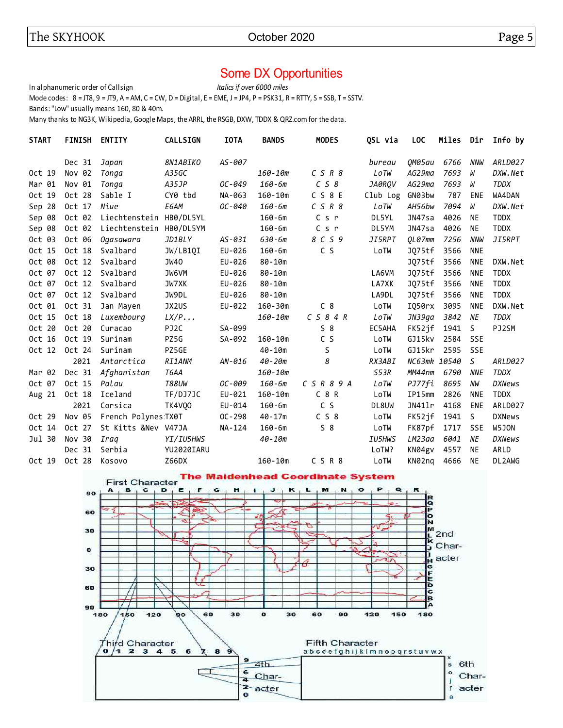# Some DX Opportunities

In alphanumeric order of Callsign *Italics if over 6000 miles* Mode codes:  $8 = JTS$ ,  $9 = JTS$ ,  $A = AM$ ,  $C = CW$ ,  $D = Digital$ ,  $E = EME$ ,  $J = JPA$ ,  $P = PSK31$ ,  $R = RTTY$ ,  $S = SSB$ ,  $T = SSTV$ . Bands: "Low" usually means 160, 80 & 40m.

Many thanks to NG3K, Wikipedia, Google Maps, the ARRL, the RSGB, DXW, TDDX & QRZ.com for the data.

| <b>START</b> | <b>FINISH</b> | <b>ENTITY</b>        | <b>CALLSIGN</b> | <b>IOTA</b> | <b>BANDS</b> | <b>MODES</b>            | QSL via       | <b>LOC</b>   | Miles | Dir          | Info by       |
|--------------|---------------|----------------------|-----------------|-------------|--------------|-------------------------|---------------|--------------|-------|--------------|---------------|
|              | Dec 31        | Japan                | <i>8N1ABIKO</i> | AS-007      |              |                         | bureau        | 0M05au       | 6766  | NNW          | ARLD027       |
| Oct 19       | Nov 02        | Tonga                | A35GC           |             | 160-10m      | $C$ $S$ $R$ $8$         | LoTW          | AG29ma       | 7693  | W            | DXW.Net       |
| Mar 01       | Nov 01        | Tonga                | A35JP           | OC-049      | 160-6m       | C S 8                   | JA0ROV        | AG29ma       | 7693  | W            | <b>TDDX</b>   |
| Oct 19       | Oct 28        | Sable I              | CY0 tbd         | NA-063      | $160 - 10m$  | $C$ S $8$ E             | Club Log      | GN03bw       | 787   | <b>ENE</b>   | WA4DAN        |
| Sep 28       | Oct 17        | Niue                 | E6AM            | OC-040      | $160 - 6m$   | $C$ $S$ $R$ $8$         | LoTW          | AH56bw       | 7094  | W            | DXW.Net       |
| Sep 08       | Oct 02        | Liechtenstein        | HB0/DL5YL       |             | $160 - 6m$   | C s r                   | DL5YL         | JN47sa       | 4026  | <b>NE</b>    | <b>TDDX</b>   |
| Sep 08       | Oct 02        | Liechtenstein        | HB0/DL5YM       |             | $160 - 6m$   | $C$ s $r$               | DL5YM         | JN47sa       | 4026  | <b>NE</b>    | <b>TDDX</b>   |
| Oct 03       | Oct 06        | Ogasawara            | JD1BLY          | $AS - 031$  | 630-6m       | 8 C S 9                 | <i>JI5RPT</i> | QL07mm       | 7256  | <b>NNW</b>   | <i>JI5RPT</i> |
| Oct 15       | Oct 18        | Svalbard             | JW/LB1QI        | EU-026      | $160 - 6m$   | C S                     | LoTW          | JQ75tf       | 3566  | <b>NNE</b>   |               |
| Oct 08       | Oct 12        | Svalbard             | JW40            | EU-026      | $80 - 10m$   |                         |               | J075tf       | 3566  | <b>NNE</b>   | DXW.Net       |
| Oct 07       | Oct 12        | Svalbard             | JW6VM           | EU-026      | 80-10m       |                         | LA6VM         | JQ75tf       | 3566  | <b>NNE</b>   | <b>TDDX</b>   |
| Oct 07       | Oct 12        | Svalbard             | JW7XK           | EU-026      | 80-10m       |                         | LA7XK         | J075tf       | 3566  | <b>NNE</b>   | <b>TDDX</b>   |
| Oct 07       | Oct 12        | Svalbard             | JW9DL           | EU-026      | 80-10m       |                         | LA9DL         | JQ75tf       | 3566  | <b>NNE</b>   | <b>TDDX</b>   |
| Oct 01       | Oct 31        | Jan Mayen            | JX2US           | EU-022      | $160 - 30m$  | C <sub>8</sub>          | LoTW          | IQ50rx       | 3095  | <b>NNE</b>   | DXW.Net       |
| Oct 15       | Oct 18        | Luxembourg           | LX/P            |             | 160-10m      | $C$ S 8 4 R             | LoTW          | JN39qa       | 3842  | NE           | <b>TDDX</b>   |
| Oct 20       | Oct 20        | Curacao              | PJ2C            | SA-099      |              | $S_8$                   | EC5AHA        | FK52if       | 1941  | <sub>S</sub> | PJ2SM         |
| Oct 16       | Oct 19        | Surinam              | PZ5G            | SA-092      | $160 - 10m$  | C S                     | LoTW          | GJ15kv       | 2584  | <b>SSE</b>   |               |
| Oct 12       | Oct 24        | Surinam              | PZ5GE           |             | $40 - 10m$   | S                       | LoTW          | GJ15kr       | 2595  | SSE          |               |
|              | 2021          | Antarctica           | <b>RI1ANM</b>   | $AN-016$    | $40 - 20m$   | 8                       | RX3ABI        | NC63mk 10540 |       | $\mathsf{S}$ | ARLD027       |
| Mar 02       | Dec 31        | Afghanistan          | T6AA            |             | $160 - 10m$  |                         | S53R          | MM44nm       | 6790  | <b>NNE</b>   | <b>TDDX</b>   |
| Oct 07       | Oct 15        | Palau                | <b>T88UW</b>    | OC-009      | 160-6m       | $C$ $S$ $R$ $8$ $9$ $A$ | LoTW          | PJ77fi       | 8695  | NW           | <b>DXNews</b> |
| Aug 21       | Oct 18        | Iceland              | TF/DJ7JC        | EU-021      | $160 - 10m$  | $C_8R$                  | LoTW          | IP15mm       | 2826  | <b>NNE</b>   | <b>TDDX</b>   |
|              | 2021          | Corsica              | TK4VQ0          | EU-014      | $160 - 6m$   | C S                     | DL8UW         | JN41lr       | 4168  | ENE          | ARLD027       |
| Oct 29       | Nov 05        | French Polynes: TX0T |                 | $OC - 298$  | $40 - 17m$   | C S 8                   | LoTW          | FK52jf       | 1941  | <sub>S</sub> | <b>DXNews</b> |
| Oct 14       | Oct 27        | St Kitts &Nev V47JA  |                 | NA-124      | $160 - 6m$   | $S_8$                   | LoTW          | FK87pf       | 1717  | <b>SSE</b>   | W5JON         |
| Jul 30       | Nov 30        | Iraq                 | YI/IU5HWS       |             | 40-10m       |                         | <b>IU5HWS</b> | LM23aa       | 6041  | ΝE           | <b>DXNews</b> |
|              | Dec 31        | Serbia               | YU2020IARU      |             |              |                         | LoTW?         | KN04gv       | 4557  | NE           | ARLD          |
| Oct 19       | Oct 28        | Kosovo               | Z66DX           |             | $160 - 10m$  | CSR8                    | LoTW          | KN02ng       | 4666  | <b>NE</b>    | DL2AWG        |